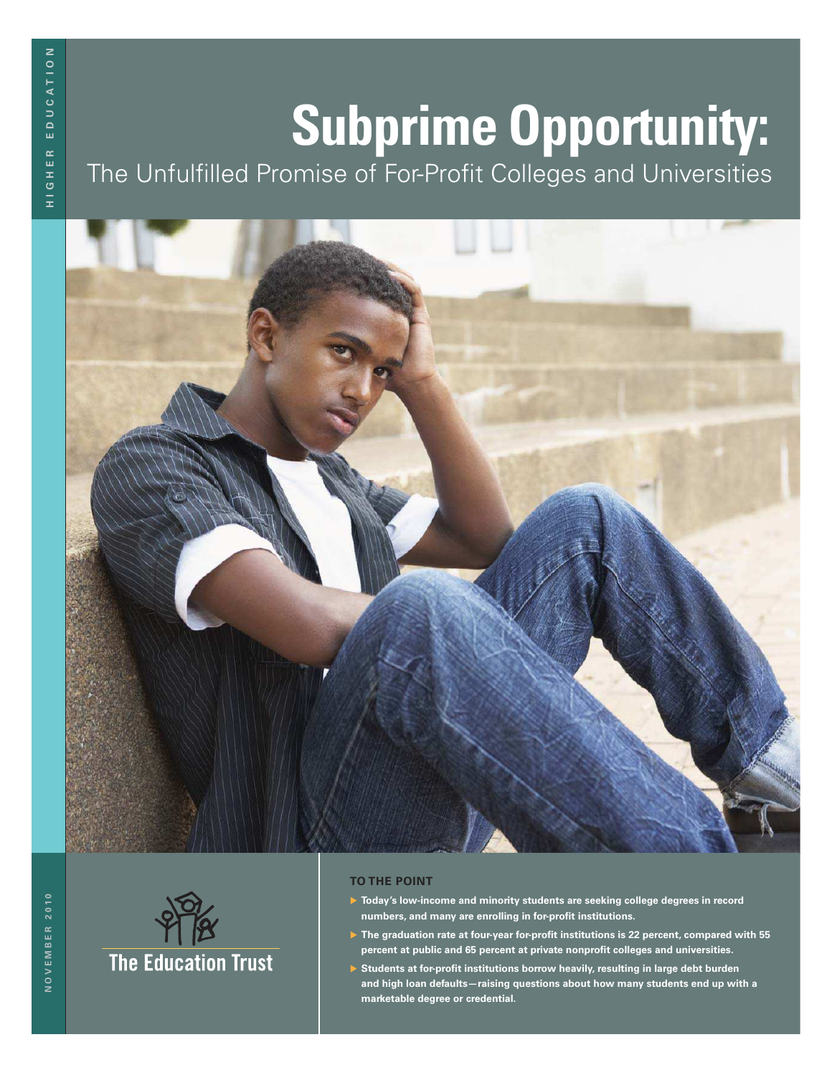# **Subprime Opportunity:**

The Unfulfilled Promise of For-Profit Colleges and Universities





#### **TO THE POINT**

- **Today's low-income and minority students are seeking college degrees in record** numbers, and many are enrolling in for-profit institutions.
- ▶ The graduation rate at four-year for-profit institutions is 22 percent, compared with 55 percent at public and 65 percent at private nonprofit colleges and universities.
- ▶ Students at for-profit institutions borrow heavily, resulting in large debt burden **and high loan defaults—raising questions about how many students end up with a marketable degree or credential.**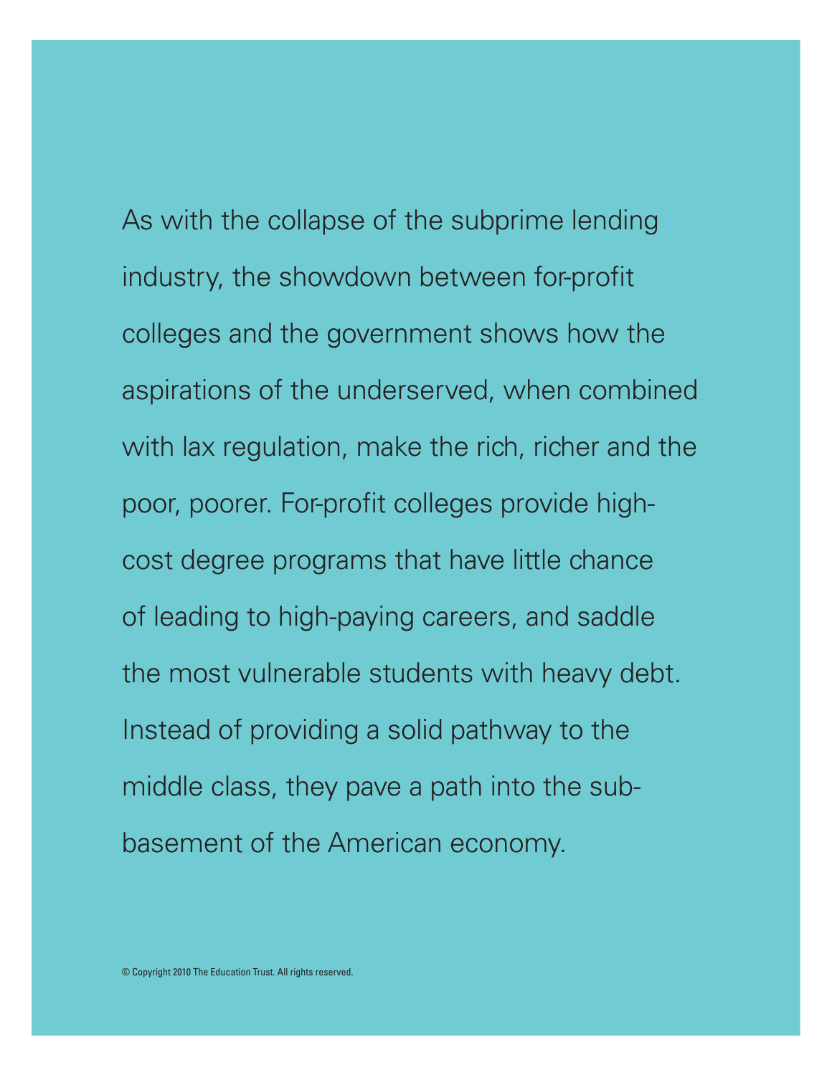As with the collapse of the subprime lending industry, the showdown between for-profit colleges and the government shows how the aspirations of the underserved, when combined with lax regulation, make the rich, richer and the poor, poorer. For-profit colleges provide highcost degree programs that have little chance of leading to high-paying careers, and saddle the most vulnerable students with heavy debt. Instead of providing a solid pathway to the middle class, they pave a path into the subbasement of the American economy.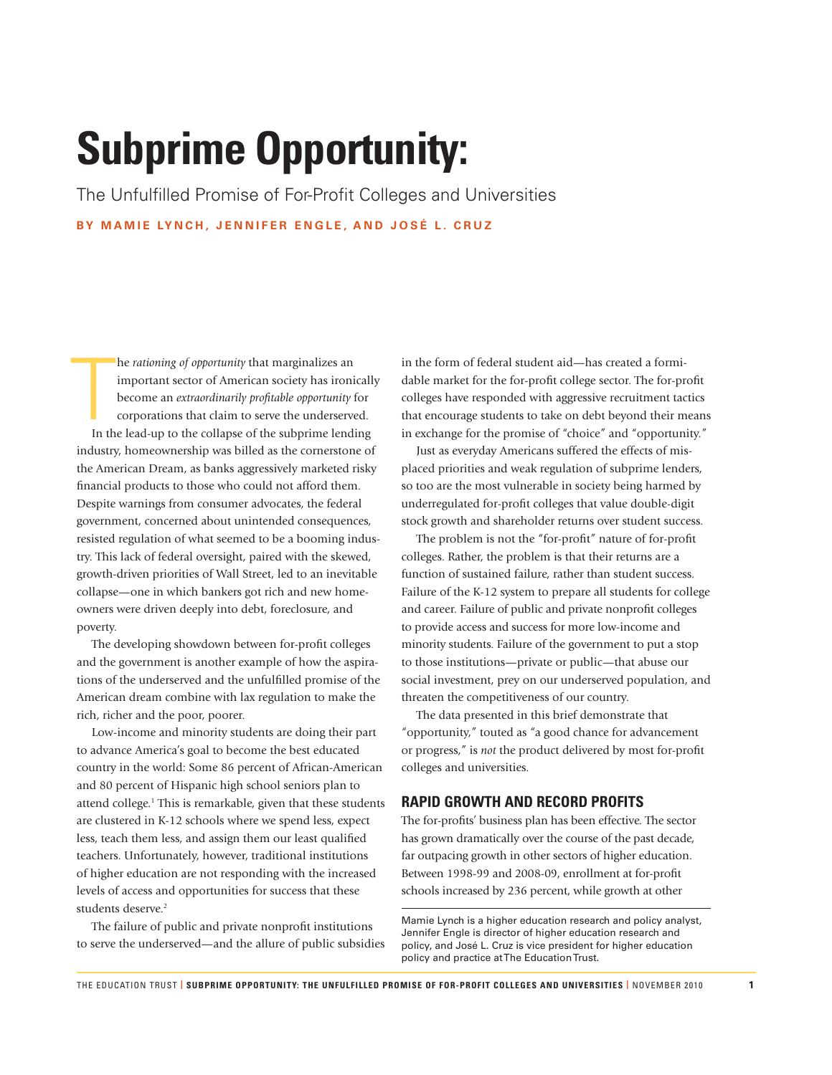## **Subprime Opportunity:**

The Unfulfilled Promise of For-Profit Colleges and Universities **BY MAMIE LYNCH, JENNIFER ENGLE, AND JOSÉ L. CRUZ**

 $\prod_{\rm In~th}$ he *rationing of opportunity* that marginalizes an important sector of American society has ironically become an *extraordinarily profi table opportunity* for corporations that claim to serve the underserved. In the lead-up to the collapse of the subprime lending industry, homeownership was billed as the cornerstone of the American Dream, as banks aggressively marketed risky financial products to those who could not afford them. Despite warnings from consumer advocates, the federal government, concerned about unintended consequences, resisted regulation of what seemed to be a booming industry. This lack of federal oversight, paired with the skewed, growth-driven priorities of Wall Street, led to an inevitable collapse—one in which bankers got rich and new homeowners were driven deeply into debt, foreclosure, and poverty.

The developing showdown between for-profit colleges and the government is another example of how the aspirations of the underserved and the unfulfilled promise of the American dream combine with lax regulation to make the rich, richer and the poor, poorer.

Low-income and minority students are doing their part to advance America's goal to become the best educated country in the world: Some 86 percent of African-American and 80 percent of Hispanic high school seniors plan to attend college.<sup>1</sup> This is remarkable, given that these students are clustered in K-12 schools where we spend less, expect less, teach them less, and assign them our least qualified teachers. Unfortunately, however, traditional institutions of higher education are not responding with the increased levels of access and opportunities for success that these students deserve.<sup>2</sup>

The failure of public and private nonprofit institutions to serve the underserved—and the allure of public subsidies in the form of federal student aid—has created a formidable market for the for-profit college sector. The for-profit colleges have responded with aggressive recruitment tactics that encourage students to take on debt beyond their means in exchange for the promise of "choice" and "opportunity."

Just as everyday Americans suffered the effects of misplaced priorities and weak regulation of subprime lenders, so too are the most vulnerable in society being harmed by underregulated for-profit colleges that value double-digit stock growth and shareholder returns over student success.

The problem is not the "for-profit" nature of for-profit colleges. Rather, the problem is that their returns are a function of sustained failure, rather than student success. Failure of the K-12 system to prepare all students for college and career. Failure of public and private nonprofit colleges to provide access and success for more low-income and minority students. Failure of the government to put a stop to those institutions—private or public—that abuse our social investment, prey on our underserved population, and threaten the competitiveness of our country.

The data presented in this brief demonstrate that "opportunity," touted as "a good chance for advancement or progress," is *not* the product delivered by most for-profit colleges and universities.

#### **RAPID GROWTH AND RECORD PROFITS**

The for-profits' business plan has been effective. The sector has grown dramatically over the course of the past decade, far outpacing growth in other sectors of higher education. Between 1998-99 and 2008-09, enrollment at for-profit schools increased by 236 percent, while growth at other

Mamie Lynch is a higher education research and policy analyst, Jennifer Engle is director of higher education research and policy, and José L. Cruz is vice president for higher education policy and practice at The Education Trust.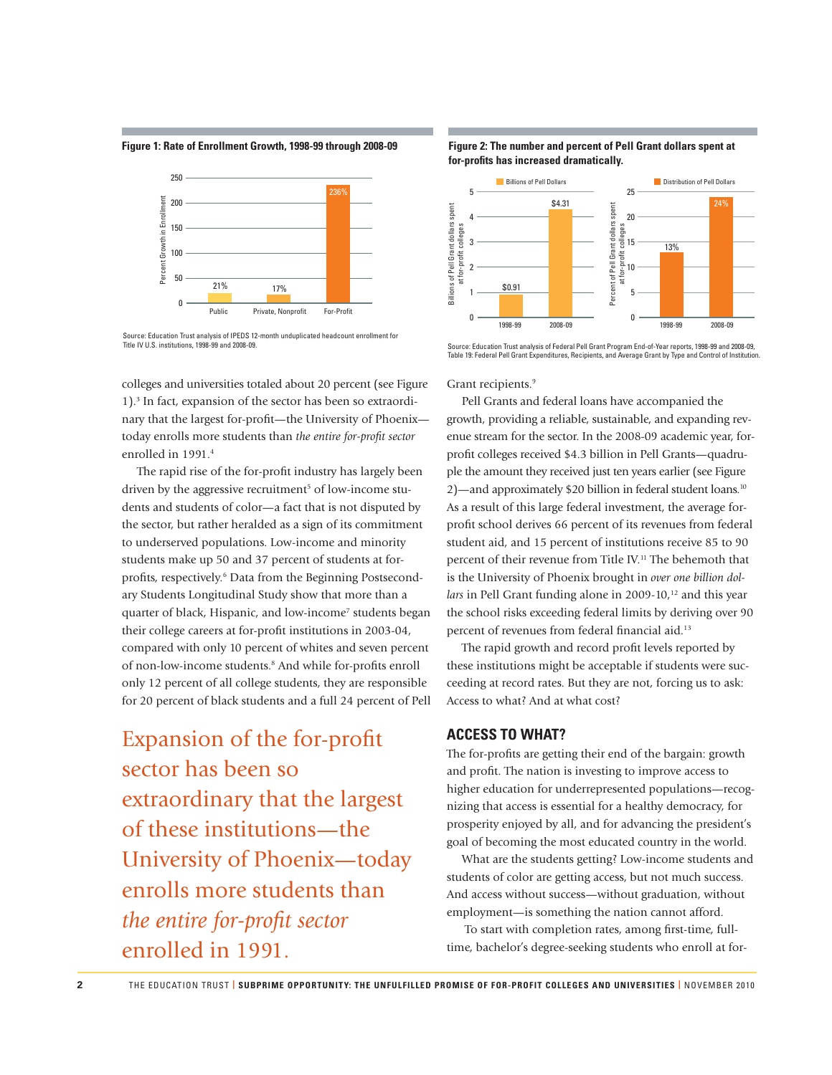**Figure 1: Rate of Enrollment Growth, 1998-99 through 2008-09**



Source: Education Trust analysis of IPEDS 12-month unduplicated headcount enrollment for Title IV U.S. institutions, 1998-99 and 2008-09.

colleges and universities totaled about 20 percent (see Figure 1).<sup>3</sup> In fact, expansion of the sector has been so extraordinary that the largest for-profit—the University of Phoenix today enrolls more students than *the entire for-profit sector* enrolled in 1991.<sup>4</sup>

The rapid rise of the for-profit industry has largely been driven by the aggressive recruitment<sup>5</sup> of low-income students and students of color—a fact that is not disputed by the sector, but rather heralded as a sign of its commitment to underserved populations. Low-income and minority students make up 50 and 37 percent of students at forprofits, respectively.<sup>6</sup> Data from the Beginning Postsecondary Students Longitudinal Study show that more than a quarter of black, Hispanic, and low-income<sup>7</sup> students began their college careers at for-profit institutions in 2003-04, compared with only 10 percent of whites and seven percent of non-low-income students.<sup>8</sup> And while for-profits enroll only 12 percent of all college students, they are responsible for 20 percent of black students and a full 24 percent of Pell

Expansion of the for-profit sector has been so extraordinary that the largest of these institutions—the University of Phoenix—today enrolls more students than *the entire for-profit sector* enrolled in 1991.





Source: Education Trust analysis of Federal Pell Grant Program End-of-Year reports, 1998-99 and 2008-09, Table 19: Federal Pell Grant Expenditures, Recipients, and Average Grant by Type and Control of Institution.

Grant recipients.<sup>9</sup>

Pell Grants and federal loans have accompanied the growth, providing a reliable, sustainable, and expanding revenue stream for the sector. In the 2008-09 academic year, forprofit colleges received \$4.3 billion in Pell Grants—quadruple the amount they received just ten years earlier (see Figure 2)—and approximately \$20 billion in federal student loans.<sup>10</sup> As a result of this large federal investment, the average forprofit school derives 66 percent of its revenues from federal student aid, and 15 percent of institutions receive 85 to 90 percent of their revenue from Title IV.<sup>11</sup> The behemoth that is the University of Phoenix brought in *over one billion dollars* in Pell Grant funding alone in 2009-10,<sup>12</sup> and this year the school risks exceeding federal limits by deriving over 90 percent of revenues from federal financial aid.<sup>13</sup>

The rapid growth and record profit levels reported by these institutions might be acceptable if students were succeeding at record rates. But they are not, forcing us to ask: Access to what? And at what cost?

#### **ACCESS TO WHAT?**

The for-profits are getting their end of the bargain: growth and profit. The nation is investing to improve access to higher education for underrepresented populations—recognizing that access is essential for a healthy democracy, for prosperity enjoyed by all, and for advancing the president's goal of becoming the most educated country in the world.

What are the students getting? Low-income students and students of color are getting access, but not much success. And access without success—without graduation, without employment—is something the nation cannot afford.

To start with completion rates, among first-time, fulltime, bachelor's degree-seeking students who enroll at for-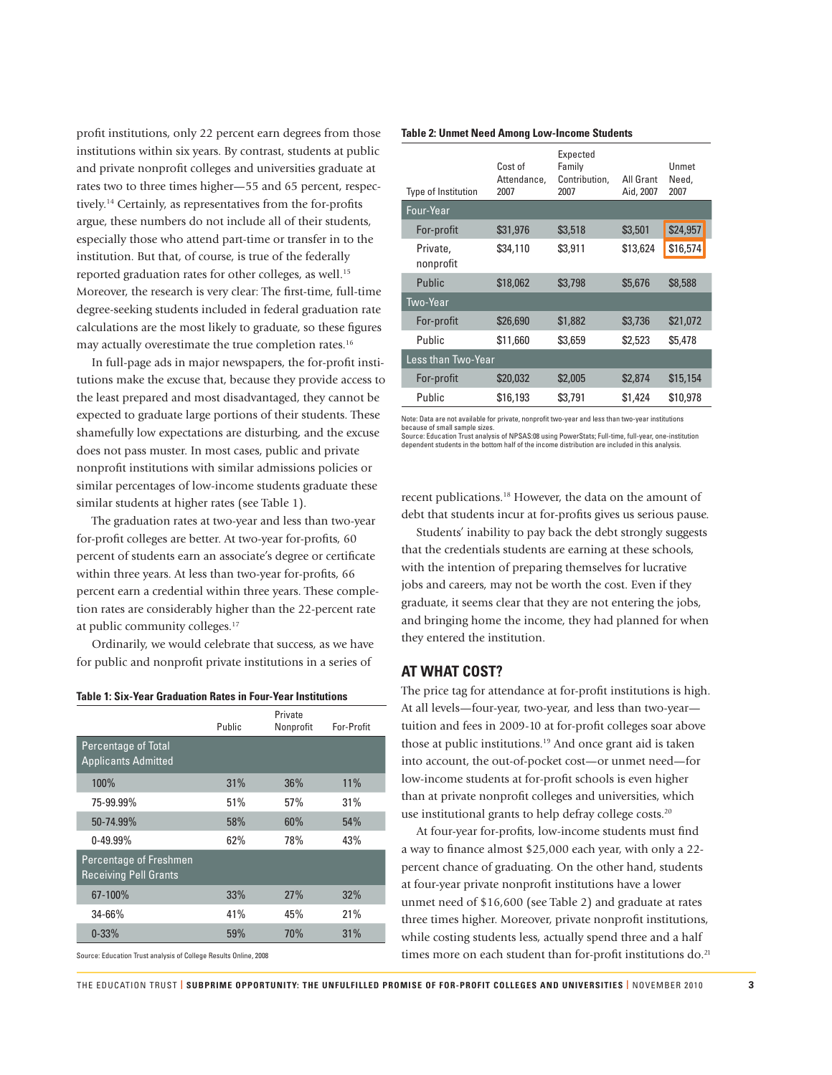profit institutions, only 22 percent earn degrees from those institutions within six years. By contrast, students at public and private nonprofit colleges and universities graduate at rates two to three times higher—55 and 65 percent, respectively.<sup>14</sup> Certainly, as representatives from the for-profits argue, these numbers do not include all of their students, especially those who attend part-time or transfer in to the institution. But that, of course, is true of the federally reported graduation rates for other colleges, as well.<sup>15</sup> Moreover, the research is very clear: The first-time, full-time degree-seeking students included in federal graduation rate calculations are the most likely to graduate, so these figures may actually overestimate the true completion rates.<sup>16</sup>

In full-page ads in major newspapers, the for-profit institutions make the excuse that, because they provide access to the least prepared and most disadvantaged, they cannot be expected to graduate large portions of their students. These shamefully low expectations are disturbing, and the excuse does not pass muster. In most cases, public and private nonprofit institutions with similar admissions policies or similar percentages of low-income students graduate these similar students at higher rates (see Table 1).

The graduation rates at two-year and less than two-year for-profit colleges are better. At two-year for-profits, 60 percent of students earn an associate's degree or certificate within three years. At less than two-year for-profits, 66 percent earn a credential within three years. These completion rates are considerably higher than the 22-percent rate at public community colleges.<sup>17</sup>

Ordinarily, we would celebrate that success, as we have for public and nonprofit private institutions in a series of

#### **Table 1: Six-Year Graduation Rates in Four-Year Institutions**

|                                                        | Public | Private<br>Nonprofit | For-Profit |
|--------------------------------------------------------|--------|----------------------|------------|
| Percentage of Total<br><b>Applicants Admitted</b>      |        |                      |            |
| 100%                                                   | 31%    | 36%                  | 11%        |
| 75-99.99%                                              | 51%    | 57%                  | 31%        |
| 50-74.99%                                              | 58%    | 60%                  | 54%        |
| $0 - 49.99\%$                                          | 62%    | 78%                  | 43%        |
| Percentage of Freshmen<br><b>Receiving Pell Grants</b> |        |                      |            |
| 67-100%                                                | 33%    | 27%                  | 32%        |
| $34 - 66%$                                             | 41%    | 45%                  | 21%        |
| $0 - 33%$                                              | 59%    | 70%                  | 31%        |

**Table 2: Unmet Need Among Low-Income Students** 

| Type of Institution   | Cost of<br>Attendance,<br>2007 | Expected<br>Family<br>Contribution,<br>2007 | All Grant<br>Aid, 2007 | <b>Unmet</b><br>Need,<br>2007 |
|-----------------------|--------------------------------|---------------------------------------------|------------------------|-------------------------------|
| Four-Year             |                                |                                             |                        |                               |
| For-profit            | \$31,976                       | \$3,518                                     | \$3,501                | \$24,957                      |
| Private,<br>nonprofit | \$34,110                       | \$3,911                                     | \$13,624               | \$16,574                      |
| Public                | \$18,062                       | \$3,798                                     | \$5,676                | \$8,588                       |
| Two-Year              |                                |                                             |                        |                               |
| For-profit            | \$26,690                       | \$1,882                                     | \$3,736                | \$21,072                      |
| Public                | \$11,660                       | \$3,659                                     | \$2,523                | \$5,478                       |
| Less than Two-Year    |                                |                                             |                        |                               |
| For-profit            | \$20,032                       | \$2,005                                     | \$2,874                | \$15,154                      |
| Public                | \$16,193                       | \$3,791                                     | \$1,424                | \$10,978                      |

Note: Data are not available for private, nonprofit two-year and less than two-year institutions because of small sample sizes.

Source: Education Trust analysis of NPSAS:08 using PowerStats; Full-time, full-year, one-institution dependent students in the bottom half of the income distribution are included in this analysis.

recent publications.<sup>18</sup> However, the data on the amount of debt that students incur at for-profits gives us serious pause.

Students' inability to pay back the debt strongly suggests that the credentials students are earning at these schools, with the intention of preparing themselves for lucrative jobs and careers, may not be worth the cost. Even if they graduate, it seems clear that they are not entering the jobs, and bringing home the income, they had planned for when they entered the institution.

#### **AT WHAT COST?**

The price tag for attendance at for-profit institutions is high. At all levels—four-year, two-year, and less than two-year tuition and fees in 2009-10 at for-profit colleges soar above those at public institutions.<sup>19</sup> And once grant aid is taken into account, the out-of-pocket cost—or unmet need—for low-income students at for-profit schools is even higher than at private nonprofit colleges and universities, which use institutional grants to help defray college costs.<sup>20</sup>

At four-year for-profits, low-income students must find a way to finance almost \$25,000 each year, with only a 22percent chance of graduating. On the other hand, students at four-year private nonprofit institutions have a lower unmet need of \$16,600 (see Table 2) and graduate at rates three times higher. Moreover, private nonprofit institutions, while costing students less, actually spend three and a half times more on each student than for-profit institutions do.<sup>21</sup>

Source: Education Trust analysis of College Results Online, 2008

THE EDUCATION TRUST **| SUBPRIME OPPORTUNITY: THE UNFULFILLED PROMISE OF FOR-PROFIT COLLEGES AND UNIVERSITIES |** NOVEMBER 2010 **3**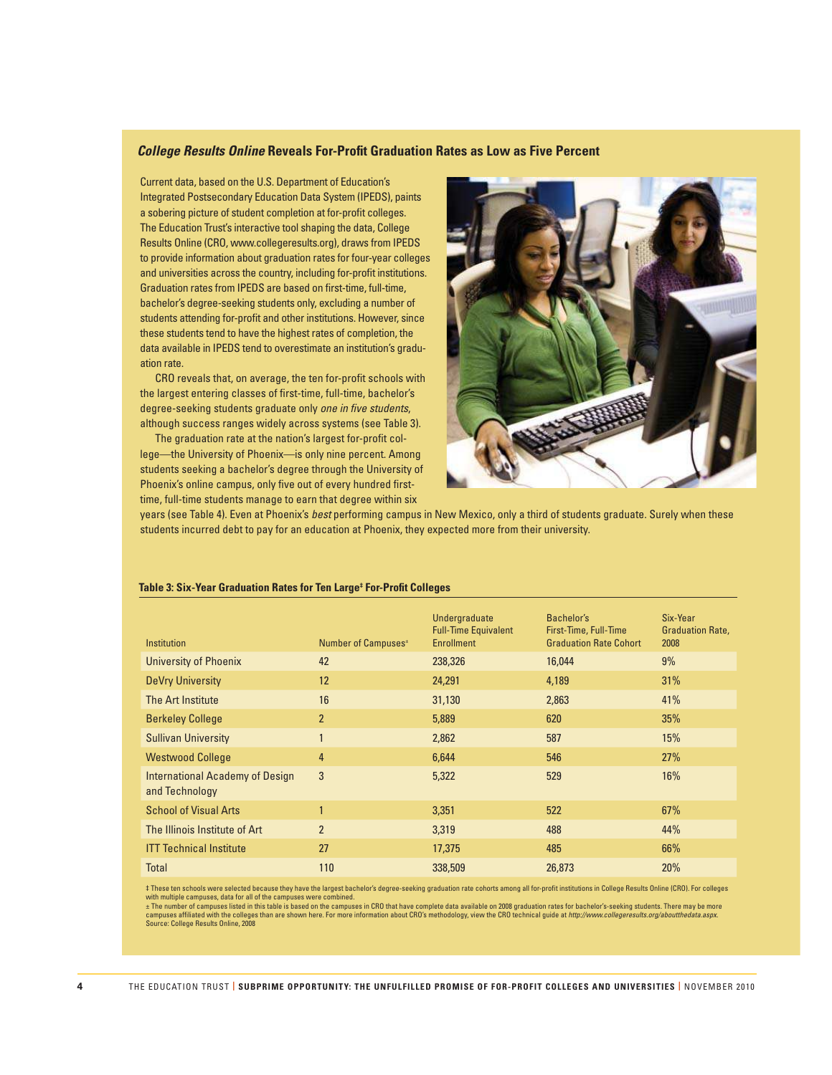#### **College Results Online Reveals For-Profit Graduation Rates as Low as Five Percent**

Current data, based on the U.S. Department of Education's Integrated Postsecondary Education Data System (IPEDS), paints a sobering picture of student completion at for-profit colleges. The Education Trust's interactive tool shaping the data, College Results Online (CRO, www.collegeresults.org), draws from IPEDS to provide information about graduation rates for four-year colleges and universities across the country, including for-profit institutions. Graduation rates from IPEDS are based on first-time, full-time, bachelor's degree-seeking students only, excluding a number of students attending for-profit and other institutions. However, since these students tend to have the highest rates of completion, the data available in IPEDS tend to overestimate an institution's graduation rate.

CRO reveals that, on average, the ten for-profit schools with the largest entering classes of first-time, full-time, bachelor's degree-seeking students graduate only *one in five students*, although success ranges widely across systems (see Table 3).

The graduation rate at the nation's largest for-profit college—the University of Phoenix—is only nine percent. Among students seeking a bachelor's degree through the University of Phoenix's online campus, only five out of every hundred firsttime, full-time students manage to earn that degree within six



years (see Table 4). Even at Phoenix's *best* performing campus in New Mexico, only a third of students graduate. Surely when these students incurred debt to pay for an education at Phoenix, they expected more from their university.

| <b>Institution</b>                                       | Number of Campuses <sup>±</sup> | <b>Undergraduate</b><br><b>Full-Time Equivalent</b><br><b>Enrollment</b> | Bachelor's<br>First-Time, Full-Time<br><b>Graduation Rate Cohort</b> | Six-Year<br><b>Graduation Rate,</b><br>2008 |
|----------------------------------------------------------|---------------------------------|--------------------------------------------------------------------------|----------------------------------------------------------------------|---------------------------------------------|
| <b>University of Phoenix</b>                             | 42                              | 238,326                                                                  | 16,044                                                               | $9\%$                                       |
| DeVry University                                         | 12                              | 24,291                                                                   | 4,189                                                                | 31%                                         |
| The Art Institute                                        | 16                              | 31,130                                                                   | 2,863                                                                | 41%                                         |
| <b>Berkeley College</b>                                  | $\overline{2}$                  | 5,889                                                                    | 620                                                                  | 35%                                         |
| <b>Sullivan University</b>                               | $\mathbf{1}$                    | 2,862                                                                    | 587                                                                  | 15%                                         |
| <b>Westwood College</b>                                  | 4                               | 6,644                                                                    | 546                                                                  | 27%                                         |
| <b>International Academy of Design</b><br>and Technology | 3                               | 5,322                                                                    | 529                                                                  | 16%                                         |
| <b>School of Visual Arts</b>                             | $\mathbf{1}$                    | 3.351                                                                    | 522                                                                  | 67%                                         |
| The Illinois Institute of Art                            | $\overline{2}$                  | 3,319                                                                    | 488                                                                  | 44%                                         |
| <b>ITT Technical Institute</b>                           | 27                              | 17,375                                                                   | 485                                                                  | 66%                                         |
| <b>Total</b>                                             | 110                             | 338,509                                                                  | 26,873                                                               | 20%                                         |

#### **Table 3: Six-Year Graduation Rates for Ten Large‡ For-Profi t Colleges**

‡ These ten schools were selected because they have the largest bachelor's degree-seeking graduation rate cohorts among all for-profi t institutions in College Results Online (CRO). For colleges

with multiple campuses, data for all of the campuses were combined.<br>± The number of campuses listed in this tabsed on the campuses in CRO that have complete data available on 2008 graduation rates for bachelor's-seeking st Source: College Results Online, 2008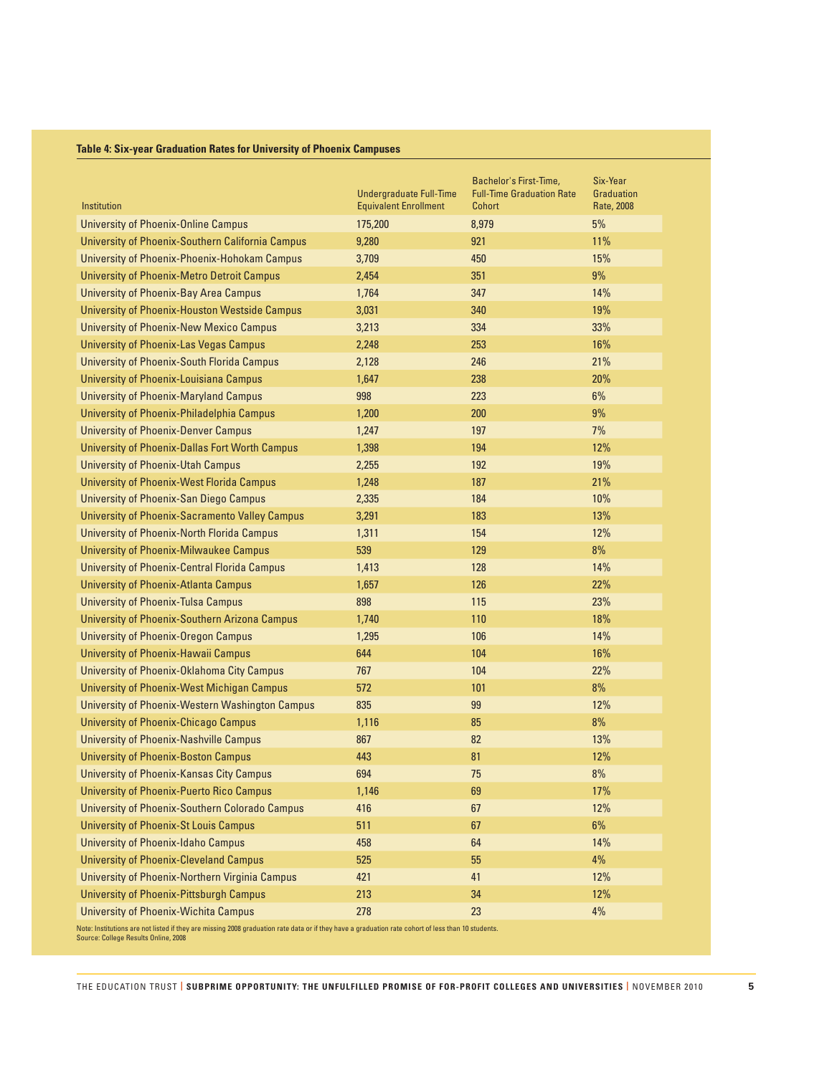#### **Table 4: Six-year Graduation Rates for University of Phoenix Campuses**

| Institution                                           | <b>Undergraduate Full-Time</b><br><b>Equivalent Enrollment</b> | Bachelor's First-Time,<br><b>Full-Time Graduation Rate</b><br>Cohort | Six-Year<br><b>Graduation</b><br>Rate, 2008 |
|-------------------------------------------------------|----------------------------------------------------------------|----------------------------------------------------------------------|---------------------------------------------|
| <b>University of Phoenix-Online Campus</b>            | 175,200                                                        | 8,979                                                                | $5\%$                                       |
| University of Phoenix-Southern California Campus      | 9,280                                                          | 921                                                                  | 11%                                         |
| <b>University of Phoenix-Phoenix-Hohokam Campus</b>   | 3,709                                                          | 450                                                                  | 15%                                         |
| <b>University of Phoenix-Metro Detroit Campus</b>     | 2,454                                                          | 351                                                                  | $9\%$                                       |
| University of Phoenix-Bay Area Campus                 | 1,764                                                          | 347                                                                  | 14%                                         |
| <b>University of Phoenix-Houston Westside Campus</b>  | 3,031                                                          | 340                                                                  | 19%                                         |
| <b>University of Phoenix-New Mexico Campus</b>        | 3,213                                                          | 334                                                                  | 33%                                         |
| <b>University of Phoenix-Las Vegas Campus</b>         | 2,248                                                          | 253                                                                  | 16%                                         |
| <b>University of Phoenix-South Florida Campus</b>     | 2,128                                                          | 246                                                                  | 21%                                         |
| <b>University of Phoenix-Louisiana Campus</b>         | 1,647                                                          | 238                                                                  | 20%                                         |
| <b>University of Phoenix-Maryland Campus</b>          | 998                                                            | 223                                                                  | 6%                                          |
| University of Phoenix-Philadelphia Campus             | 1,200                                                          | 200                                                                  | 9%                                          |
| <b>University of Phoenix-Denver Campus</b>            | 1,247                                                          | 197                                                                  | 7%                                          |
| <b>University of Phoenix-Dallas Fort Worth Campus</b> | 1,398                                                          | 194                                                                  | 12%                                         |
| <b>University of Phoenix-Utah Campus</b>              | 2,255                                                          | 192                                                                  | 19%                                         |
| University of Phoenix-West Florida Campus             | 1,248                                                          | 187                                                                  | 21%                                         |
| <b>University of Phoenix-San Diego Campus</b>         | 2,335                                                          | 184                                                                  | 10%                                         |
| <b>University of Phoenix-Sacramento Valley Campus</b> | 3,291                                                          | 183                                                                  | 13%                                         |
| <b>University of Phoenix-North Florida Campus</b>     | 1,311                                                          | 154                                                                  | 12%                                         |
| <b>University of Phoenix-Milwaukee Campus</b>         | 539                                                            | 129                                                                  | 8%                                          |
| <b>University of Phoenix-Central Florida Campus</b>   | 1,413                                                          | 128                                                                  | 14%                                         |
| <b>University of Phoenix-Atlanta Campus</b>           | 1,657                                                          | 126                                                                  | 22%                                         |
| <b>University of Phoenix-Tulsa Campus</b>             | 898                                                            | 115                                                                  | 23%                                         |
| <b>University of Phoenix-Southern Arizona Campus</b>  | 1,740                                                          | 110                                                                  | 18%                                         |
| <b>University of Phoenix-Oregon Campus</b>            | 1,295                                                          | 106                                                                  | 14%                                         |
| <b>University of Phoenix-Hawaii Campus</b>            | 644                                                            | 104                                                                  | 16%                                         |
| University of Phoenix-Oklahoma City Campus            | 767                                                            | 104                                                                  | 22%                                         |
| University of Phoenix-West Michigan Campus            | 572                                                            | 101                                                                  | 8%                                          |
| University of Phoenix-Western Washington Campus       | 835                                                            | 99                                                                   | 12%                                         |
| <b>University of Phoenix-Chicago Campus</b>           | 1,116                                                          | 85                                                                   | 8%                                          |
| <b>University of Phoenix-Nashville Campus</b>         | 867                                                            | 82                                                                   | 13%                                         |
| <b>University of Phoenix-Boston Campus</b>            | 443                                                            | 81                                                                   | 12%                                         |
| University of Phoenix-Kansas City Campus              | 694                                                            | 75                                                                   | 8%                                          |
| <b>University of Phoenix-Puerto Rico Campus</b>       | 1,146                                                          | 69                                                                   | 17%                                         |
| <b>University of Phoenix-Southern Colorado Campus</b> | 416                                                            | 67                                                                   | 12%                                         |
| <b>University of Phoenix-St Louis Campus</b>          | 511                                                            | 67                                                                   | $6\%$                                       |
| <b>University of Phoenix-Idaho Campus</b>             | 458                                                            | 64                                                                   | 14%                                         |
| <b>University of Phoenix-Cleveland Campus</b>         | 525                                                            | 55                                                                   | 4%                                          |
| University of Phoenix-Northern Virginia Campus        | 421                                                            | 41                                                                   | 12%                                         |
| <b>University of Phoenix-Pittsburgh Campus</b>        | 213                                                            | 34                                                                   | 12%                                         |
| <b>University of Phoenix-Wichita Campus</b>           | 278                                                            | 23                                                                   | $4\%$                                       |

Note: Institutions are not listed if they are missing 2008 graduation rate data or if they have a graduation rate cohort of less than 10 students. Source: College Results Online, 2008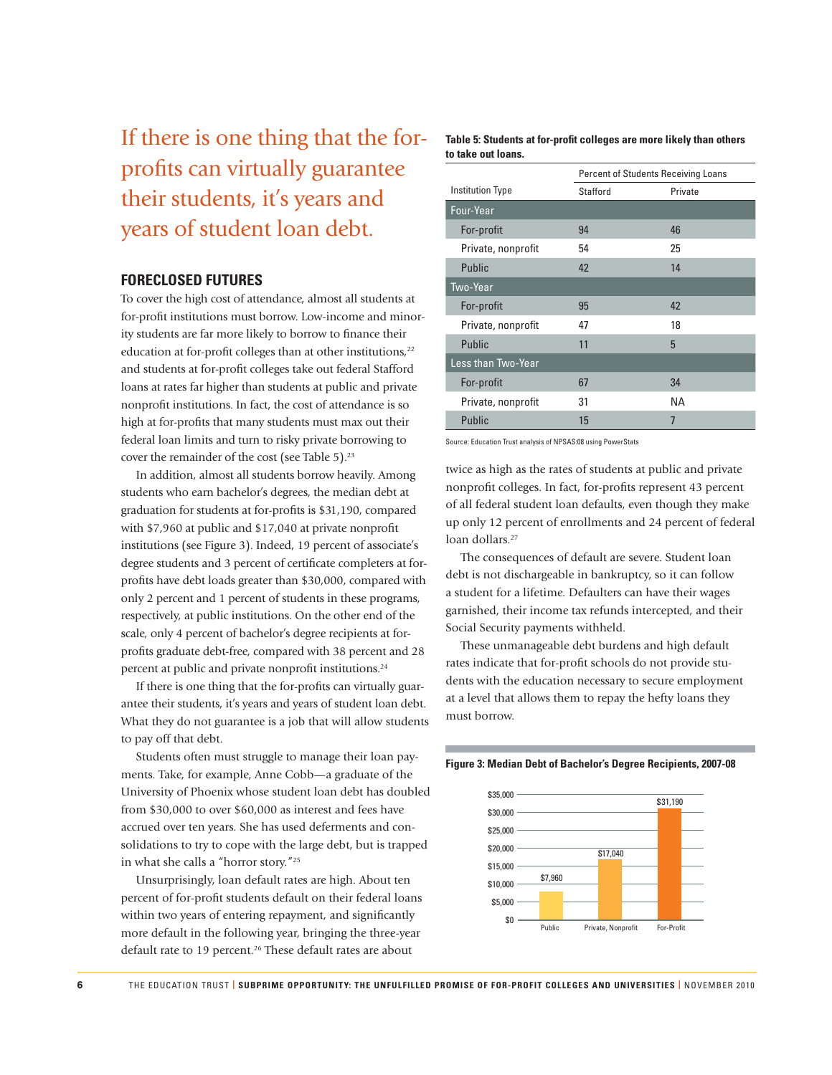If there is one thing that the forprofits can virtually guarantee their students, it's years and years of student loan debt.

#### **FORECLOSED FUTURES**

To cover the high cost of attendance, almost all students at for-profit institutions must borrow. Low-income and minority students are far more likely to borrow to finance their education at for-profit colleges than at other institutions,<sup>22</sup> and students at for-profit colleges take out federal Stafford loans at rates far higher than students at public and private nonprofit institutions. In fact, the cost of attendance is so high at for-profits that many students must max out their federal loan limits and turn to risky private borrowing to cover the remainder of the cost (see Table 5).<sup>23</sup>

In addition, almost all students borrow heavily. Among students who earn bachelor's degrees, the median debt at graduation for students at for-profits is \$31,190, compared with \$7,960 at public and \$17,040 at private nonprofit institutions (see Figure 3). Indeed, 19 percent of associate's degree students and 3 percent of certificate completers at forprofits have debt loads greater than \$30,000, compared with only 2 percent and 1 percent of students in these programs, respectively, at public institutions. On the other end of the scale, only 4 percent of bachelor's degree recipients at forprofits graduate debt-free, compared with 38 percent and 28 percent at public and private nonprofit institutions.<sup>24</sup>

If there is one thing that the for-profits can virtually guarantee their students, it's years and years of student loan debt. What they do not guarantee is a job that will allow students to pay off that debt.

Students often must struggle to manage their loan payments. Take, for example, Anne Cobb—a graduate of the University of Phoenix whose student loan debt has doubled from \$30,000 to over \$60,000 as interest and fees have accrued over ten years. She has used deferments and consolidations to try to cope with the large debt, but is trapped in what she calls a "horror story."<sup>25</sup>

Unsurprisingly, loan default rates are high. About ten percent of for-profit students default on their federal loans within two years of entering repayment, and significantly more default in the following year, bringing the three-year default rate to 19 percent.<sup>26</sup> These default rates are about

Table 5: Students at for-profit colleges are more likely than others **to take out loans.**

|                         | <b>Percent of Students Receiving Loans</b> |         |
|-------------------------|--------------------------------------------|---------|
| <b>Institution Type</b> | Stafford                                   | Private |
| Four-Year               |                                            |         |
| For-profit              | 94                                         | 46      |
| Private, nonprofit      | 54                                         | 25      |
| Public                  | 42                                         | 14      |
| Two-Year                |                                            |         |
| For-profit              | 95                                         | 42      |
| Private, nonprofit      | 47                                         | 18      |
| Public                  | 11                                         | 5       |
| Less than Two-Year      |                                            |         |
| For-profit              | 67                                         | 34      |
| Private, nonprofit      | 31                                         | NА      |
| Public                  | 15                                         | 7       |

Source: Education Trust analysis of NPSAS:08 using PowerStats

twice as high as the rates of students at public and private nonprofit colleges. In fact, for-profits represent 43 percent of all federal student loan defaults, even though they make up only 12 percent of enrollments and 24 percent of federal loan dollars.<sup>27</sup>

The consequences of default are severe. Student loan debt is not dischargeable in bankruptcy, so it can follow a student for a lifetime. Defaulters can have their wages garnished, their income tax refunds intercepted, and their Social Security payments withheld.

These unmanageable debt burdens and high default rates indicate that for-profit schools do not provide students with the education necessary to secure employment at a level that allows them to repay the hefty loans they must borrow.



#### **Figure 3: Median Debt of Bachelor's Degree Recipients, 2007-08**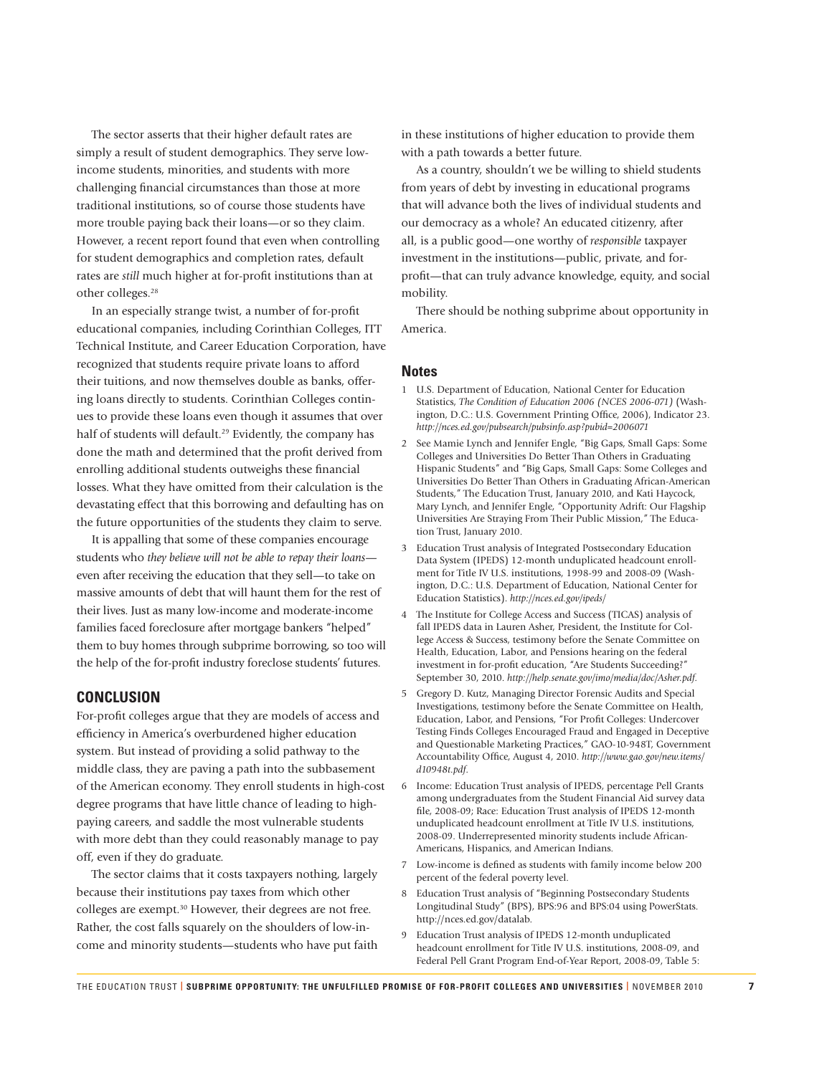The sector asserts that their higher default rates are simply a result of student demographics. They serve lowincome students, minorities, and students with more challenging financial circumstances than those at more traditional institutions, so of course those students have more trouble paying back their loans—or so they claim. However, a recent report found that even when controlling for student demographics and completion rates, default rates are *still* much higher at for-profit institutions than at other colleges.<sup>28</sup>

In an especially strange twist, a number of for-profit educational companies, including Corinthian Colleges, ITT Technical Institute, and Career Education Corporation, have recognized that students require private loans to afford their tuitions, and now themselves double as banks, offering loans directly to students. Corinthian Colleges continues to provide these loans even though it assumes that over half of students will default.<sup>29</sup> Evidently, the company has done the math and determined that the profit derived from enrolling additional students outweighs these financial losses. What they have omitted from their calculation is the devastating effect that this borrowing and defaulting has on the future opportunities of the students they claim to serve.

It is appalling that some of these companies encourage students who *they believe will not be able to repay their loans* even after receiving the education that they sell—to take on massive amounts of debt that will haunt them for the rest of their lives. Just as many low-income and moderate-income families faced foreclosure after mortgage bankers "helped" them to buy homes through subprime borrowing, so too will the help of the for-profit industry foreclose students' futures.

### **CONCLUSION**

For-profit colleges argue that they are models of access and efficiency in America's overburdened higher education system. But instead of providing a solid pathway to the middle class, they are paving a path into the subbasement of the American economy. They enroll students in high-cost degree programs that have little chance of leading to highpaying careers, and saddle the most vulnerable students with more debt than they could reasonably manage to pay off, even if they do graduate.

The sector claims that it costs taxpayers nothing, largely because their institutions pay taxes from which other colleges are exempt.<sup>30</sup> However, their degrees are not free. Rather, the cost falls squarely on the shoulders of low-income and minority students—students who have put faith

in these institutions of higher education to provide them with a path towards a better future.

As a country, shouldn't we be willing to shield students from years of debt by investing in educational programs that will advance both the lives of individual students and our democracy as a whole? An educated citizenry, after all, is a public good—one worthy of *responsible* taxpayer investment in the institutions—public, private, and forprofit—that can truly advance knowledge, equity, and social mobility.

There should be nothing subprime about opportunity in America.

#### **Notes**

- 1 U.S. Department of Education, National Center for Education Statistics, *The Condition of Education 2006 (NCES 2006-071)* (Washington, D.C.: U.S. Government Printing Office, 2006), Indicator 23. *http://nces.ed.gov/pubsearch/pubsinfo.asp?pubid=2006071*
- 2 See Mamie Lynch and Jennifer Engle, "Big Gaps, Small Gaps: Some Colleges and Universities Do Better Than Others in Graduating Hispanic Students" and "Big Gaps, Small Gaps: Some Colleges and Universities Do Better Than Others in Graduating African-American Students," The Education Trust, January 2010, and Kati Haycock, Mary Lynch, and Jennifer Engle, "Opportunity Adrift: Our Flagship Universities Are Straying From Their Public Mission," The Education Trust, January 2010.
- 3 Education Trust analysis of Integrated Postsecondary Education Data System (IPEDS) 12-month unduplicated headcount enrollment for Title IV U.S. institutions, 1998-99 and 2008-09 (Washington, D.C.: U.S. Department of Education, National Center for Education Statistics). *http://nces.ed.gov/ipeds/*
- 4 The Institute for College Access and Success (TICAS) analysis of fall IPEDS data in Lauren Asher, President, the Institute for College Access & Success, testimony before the Senate Committee on Health, Education, Labor, and Pensions hearing on the federal investment in for-profit education, "Are Students Succeeding?" September 30, 2010. *http://help.senate.gov/imo/media/doc/Asher.pdf.*
- 5 Gregory D. Kutz, Managing Director Forensic Audits and Special Investigations, testimony before the Senate Committee on Health, Education, Labor, and Pensions, "For Profit Colleges: Undercover Testing Finds Colleges Encouraged Fraud and Engaged in Deceptive and Questionable Marketing Practices," GAO-10-948T, Government Accountability Office, August 4, 2010. http://www.gao.gov/new.items/ *d10948t.pdf.*
- 6 Income: Education Trust analysis of IPEDS, percentage Pell Grants among undergraduates from the Student Financial Aid survey data file, 2008-09; Race: Education Trust analysis of IPEDS 12-month unduplicated headcount enrollment at Title IV U.S. institutions, 2008-09. Underrepresented minority students include African-Americans, Hispanics, and American Indians.
- 7 Low-income is defined as students with family income below 200 percent of the federal poverty level.
- 8 Education Trust analysis of "Beginning Postsecondary Students Longitudinal Study" (BPS), BPS:96 and BPS:04 using PowerStats. http://nces.ed.gov/datalab.
- 9 Education Trust analysis of IPEDS 12-month unduplicated headcount enrollment for Title IV U.S. institutions, 2008-09, and Federal Pell Grant Program End-of-Year Report, 2008-09, Table 5: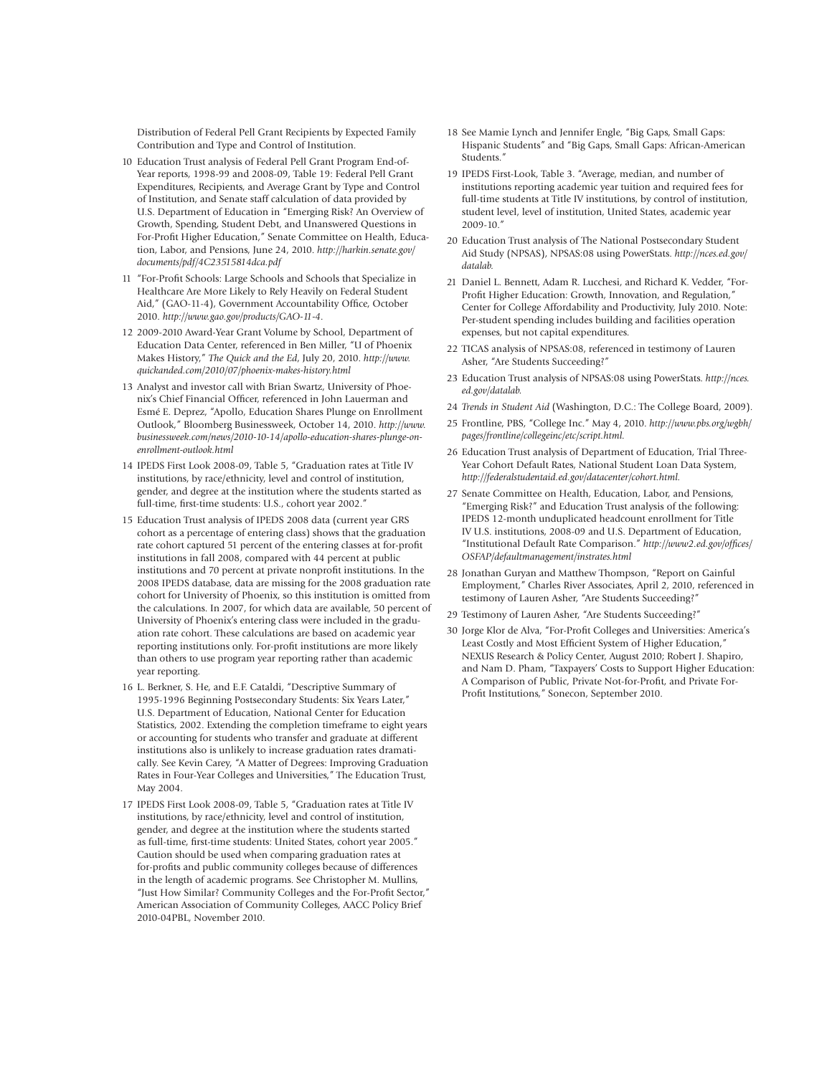Distribution of Federal Pell Grant Recipients by Expected Family Contribution and Type and Control of Institution.

- 10 Education Trust analysis of Federal Pell Grant Program End-of-Year reports, 1998-99 and 2008-09, Table 19: Federal Pell Grant Expenditures, Recipients, and Average Grant by Type and Control of Institution, and Senate staff calculation of data provided by U.S. Department of Education in "Emerging Risk? An Overview of Growth, Spending, Student Debt, and Unanswered Questions in For-Profit Higher Education," Senate Committee on Health, Education, Labor, and Pensions, June 24, 2010. *http://harkin.senate.gov/ documents/pdf/4C23515814dca.pdf*
- 11 "For-Profit Schools: Large Schools and Schools that Specialize in Healthcare Are More Likely to Rely Heavily on Federal Student Aid," (GAO-11-4), Government Accountability Office, October 2010. *http://www.gao.gov/products/GAO-11-4.*
- 12 2009-2010 Award-Year Grant Volume by School, Department of Education Data Center, referenced in Ben Miller, "U of Phoenix Makes History," *The Quick and the Ed*, July 20, 2010. *http://www. quickanded.com/2010/07/phoenix-makes-history.html*
- 13 Analyst and investor call with Brian Swartz, University of Phoenix's Chief Financial Officer, referenced in John Lauerman and Esmé E. Deprez, "Apollo, Education Shares Plunge on Enrollment Outlook," Bloomberg Businessweek, October 14, 2010. *http://www. businessweek.com/news/2010-10-14/apollo-education-shares-plunge-onenrollment-outlook.html*
- 14 IPEDS First Look 2008-09, Table 5, "Graduation rates at Title IV institutions, by race/ethnicity, level and control of institution, gender, and degree at the institution where the students started as full-time, first-time students: U.S., cohort year 2002."
- 15 Education Trust analysis of IPEDS 2008 data (current year GRS cohort as a percentage of entering class) shows that the graduation rate cohort captured 51 percent of the entering classes at for-profit institutions in fall 2008, compared with 44 percent at public institutions and 70 percent at private nonprofit institutions. In the 2008 IPEDS database, data are missing for the 2008 graduation rate cohort for University of Phoenix, so this institution is omitted from the calculations. In 2007, for which data are available, 50 percent of University of Phoenix's entering class were included in the graduation rate cohort. These calculations are based on academic year reporting institutions only. For-profit institutions are more likely than others to use program year reporting rather than academic year reporting.
- 16 L. Berkner, S. He, and E.F. Cataldi, "Descriptive Summary of 1995-1996 Beginning Postsecondary Students: Six Years Later," U.S. Department of Education, National Center for Education Statistics, 2002. Extending the completion timeframe to eight years or accounting for students who transfer and graduate at different institutions also is unlikely to increase graduation rates dramatically. See Kevin Carey, "A Matter of Degrees: Improving Graduation Rates in Four-Year Colleges and Universities," The Education Trust, May 2004.
- 17 IPEDS First Look 2008-09, Table 5, "Graduation rates at Title IV institutions, by race/ethnicity, level and control of institution, gender, and degree at the institution where the students started as full-time, first-time students: United States, cohort year 2005." Caution should be used when comparing graduation rates at for-profits and public community colleges because of differences in the length of academic programs. See Christopher M. Mullins, "Just How Similar? Community Colleges and the For-Profit Sector," American Association of Community Colleges, AACC Policy Brief 2010-04PBL, November 2010.
- 18 See Mamie Lynch and Jennifer Engle, "Big Gaps, Small Gaps: Hispanic Students" and "Big Gaps, Small Gaps: African-American Students."
- 19 IPEDS First-Look, Table 3. "Average, median, and number of institutions reporting academic year tuition and required fees for full-time students at Title IV institutions, by control of institution, student level, level of institution, United States, academic year 2009-10."
- 20 Education Trust analysis of The National Postsecondary Student Aid Study (NPSAS), NPSAS:08 using PowerStats. *http://nces.ed.gov/ datalab.*
- 21 Daniel L. Bennett, Adam R. Lucchesi, and Richard K. Vedder, "For-Profit Higher Education: Growth, Innovation, and Regulation," Center for College Affordability and Productivity, July 2010. Note: Per-student spending includes building and facilities operation expenses, but not capital expenditures.
- 22 TICAS analysis of NPSAS:08, referenced in testimony of Lauren Asher, "Are Students Succeeding?"
- 23 Education Trust analysis of NPSAS:08 using PowerStats. *http://nces. ed.gov/datalab.*
- 24 *Trends in Student Aid* (Washington, D.C.: The College Board, 2009).
- 25 Frontline, PBS, "College Inc." May 4, 2010. *http://www.pbs.org/wgbh/ pages/frontline/collegeinc/etc/script.html.*
- 26 Education Trust analysis of Department of Education, Trial Three-Year Cohort Default Rates, National Student Loan Data System, *http://federalstudentaid.ed.gov/datacenter/cohort.html.*
- 27 Senate Committee on Health, Education, Labor, and Pensions, "Emerging Risk?" and Education Trust analysis of the following: IPEDS 12-month unduplicated headcount enrollment for Title IV U.S. institutions, 2008-09 and U.S. Department of Education, "Institutional Default Rate Comparison." http://www2.ed.gov/offices/ *OSFAP/defaultmanagement/instrates.html*
- 28 Jonathan Guryan and Matthew Thompson, "Report on Gainful Employment," Charles River Associates, April 2, 2010, referenced in testimony of Lauren Asher, "Are Students Succeeding?"
- 29 Testimony of Lauren Asher, "Are Students Succeeding?"
- 30 Jorge Klor de Alva, "For-Profi t Colleges and Universities: America's Least Costly and Most Efficient System of Higher Education," NEXUS Research & Policy Center, August 2010; Robert J. Shapiro, and Nam D. Pham, "Taxpayers' Costs to Support Higher Education: A Comparison of Public, Private Not-for-Profit, and Private For-Profit Institutions," Sonecon, September 2010.